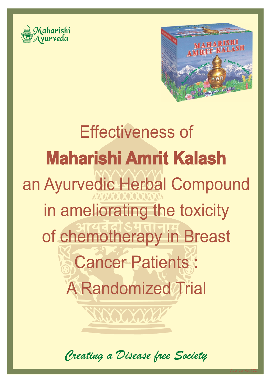



# **Maharishi Amrit Kalash**  an Ayurvedic Herbal Compound in ameliorating the toxicity of chemotherapy in Breast **Cancer Patients :** A Randomized Trial Effectiveness of

Creating a Disease free Society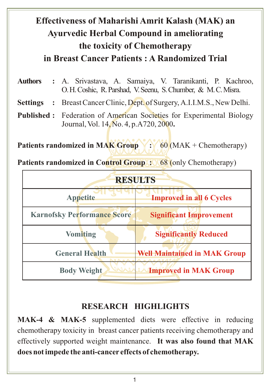# **Effectiveness of Maharishi Amrit Kalash (MAK) an Ayurvedic Herbal Compound in ameliorating the toxicity of Chemotherapy in Breast Cancer Patients : A Randomized Trial**

- **Authors :** A. Srivastava, A. Samaiya, V. Taranikanti, P. Kachroo, O. H.Coshic, R. Parshad, V. Seenu, S. Chumber, & M. C. Misra.
- **Settings :** Breast Cancer Clinic, Dept. of Surgery, A.I.I.M.S., New Delhi.
- **Published :** Federation of American Societies for Experimental Biology Journal, Vol. 14, No. 4, p.A720, 2000**.**

**Patients randomized in MAK Group :: 60 (MAK + Chemotherapy)** 

**Patients randomized in Control Group :** 68 (only Chemotherapy)

| <b>RESULTS</b>                          |                                     |
|-----------------------------------------|-------------------------------------|
| <b>Appetite</b>                         | <b>Improved in all 6 Cycles</b>     |
| <b>Karnofsky Performance Score</b>      | <b>Significant Improvement</b>      |
| <b>Vomiting</b>                         | <b>Significantly Reduced</b>        |
| <b>General Health</b><br><b>Den Den</b> | <b>Well Maintained in MAK Group</b> |
| <b>Body Weight</b>                      | <b>Improved in MAK Group</b>        |

#### **RESEARCH HIGHLIGHTS**

**MAK-4 & MAK-5** supplemented diets were effective in reducing chemotherapy toxicity in breast cancer patients receiving chemotherapy and effectively supported weight maintenance. **It was also found that MAK does not impede the anti-cancer effects of chemotherapy.**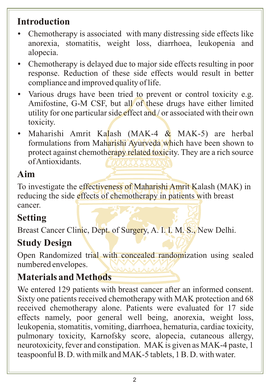### **Introduction**

- Chemotherapy is associated with many distressing side effects like anorexia, stomatitis, weight loss, diarrhoea, leukopenia and alopecia.
- Chemotherapy is delayed due to major side effects resulting in poor response. Reduction of these side effects would result in better compliance and improved quality of life.
- Various drugs have been tried to prevent or control toxicity e.g. Amifostine, G-M CSF, but all of these drugs have either limited utility for one particular side effect and / or associated with their own toxicity.
- Maharishi Amrit Kalash (MAK-4  $&$  MAK-5) are herbal formulations from Maharishi Ayurveda which have been shown to protect against chemotherapy related toxicity. They are a rich source of Antioxidants.

#### **Aim**

To investigate the effectiveness of Maharishi Amrit Kalash (MAK) in reducing the side effects of chemotherapy in patients with breast cancer.

#### **Setting**

Breast Cancer Clinic, Dept. of Surgery, A. I. I. M. S., New Delhi.

#### **Study Design**

Open Randomized trial with concealed randomization using sealed numbered envelopes.

#### **Materials and Methods**

We entered 129 patients with breast cancer after an informed consent. Sixty one patients received chemotherapy with MAK protection and 68 received chemotherapy alone. Patients were evaluated for 17 side effects namely, poor general well being, anorexia, weight loss, leukopenia, stomatitis, vomiting, diarrhoea, hematuria, cardiac toxicity, pulmonary toxicity, Karnofsky score, alopecia, cutaneous allergy, neurotoxicity, fever and constipation. MAK is given as MAK-4 paste, 1 teaspoonful B. D. with milk and MAK-5 tablets, 1 B. D. with water.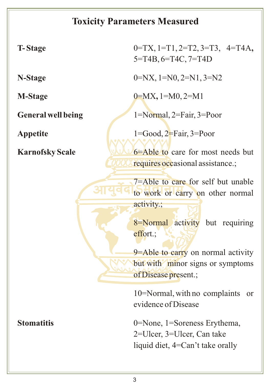# **Toxicity Parameters Measured**

| <b>T-Stage</b>            | $0=TX$ , $1=T1$ , $2=T2$ , $3=T3$ , $4=T4A$ ,<br>5=T4B, 6=T4C, 7=T4D                                                                                                                                                                                                                                             |
|---------------------------|------------------------------------------------------------------------------------------------------------------------------------------------------------------------------------------------------------------------------------------------------------------------------------------------------------------|
| N-Stage                   | $0=NX, 1=N0, 2=N1, 3=N2$                                                                                                                                                                                                                                                                                         |
| <b>M-Stage</b>            | $0=MX$ , $1=M0$ , $2=M1$                                                                                                                                                                                                                                                                                         |
| <b>General well being</b> | 1=Normal, 2=Fair, 3=Poor                                                                                                                                                                                                                                                                                         |
| <b>Appetite</b>           | $1 = Good$ , $2 = Fair$ , $3 = Poor$                                                                                                                                                                                                                                                                             |
| <b>Karnofsky Scale</b>    | 6 - Able to care for most needs but<br>requires occasional assistance.;<br>7=Able to care for self but unable<br>to work or carry on other normal<br>activity.;<br>8=Normal activity but requiring<br>effort.;<br>9=Able to carry on normal activity<br>but with minor signs or symptoms<br>of Disease present.; |
|                           | 10=Normal, with no complaints<br><sub>or</sub><br>evidence of Disease                                                                                                                                                                                                                                            |
| <b>Stomatitis</b>         | 0=None, 1=Soreness Erythema,<br>2=Ulcer, 3=Ulcer, Can take<br>liquid diet, 4=Can't take orally                                                                                                                                                                                                                   |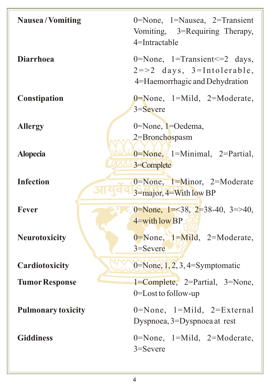| <b>Nausea/Vomiting</b>    | 0=None, $1=N$ ausea, $2=T$ ransient<br>Vomiting, 3=Requiring Therapy,<br>4=Intractable                                                                                                                                                                                                                                                          |
|---------------------------|-------------------------------------------------------------------------------------------------------------------------------------------------------------------------------------------------------------------------------------------------------------------------------------------------------------------------------------------------|
| <b>Diarrhoea</b>          | 0=None, 1=Transient <= 2 days,<br>$2 = > 2$ days, $3 =$ Intolerable,<br>4=Haemorrhagic and Dehydration                                                                                                                                                                                                                                          |
| Constipation              | $0 = None$ , 1=Mild, 2=Moderate,<br>$3 =$ Severe                                                                                                                                                                                                                                                                                                |
| <b>Allergy</b>            | 0=None, 1=Oedema,<br>2=Bronchospasm                                                                                                                                                                                                                                                                                                             |
| <b>Alopecia</b>           | $0 = None$ , $1 = Minimal$ , $2 = Partial$ ,<br>3=Complete                                                                                                                                                                                                                                                                                      |
| <b>Infection</b>          | $0 = None$ , $1 = Minor$ , $2 = Moderate$<br>$3 = \frac{1}{2}$ and $4 = \frac{1}{2}$ and $\frac{1}{2}$ and $\frac{1}{2}$ and $\frac{1}{2}$ are $\frac{1}{2}$ and $\frac{1}{2}$ are $\frac{1}{2}$ are $\frac{1}{2}$ and $\frac{1}{2}$ are $\frac{1}{2}$ and $\frac{1}{2}$ are $\frac{1}{2}$ are $\frac{1}{2}$ and $\frac{1}{2}$ are $\frac{1}{2$ |
| <b>Fever</b>              | 0=None, $1=38$ , $2=38-40$ , $3=>40$ ,<br>$4$ =with low BP                                                                                                                                                                                                                                                                                      |
| <b>Neurotoxicity</b>      | $0 = None$ , $1 = Mild$ , $2 = Moderate$ ,<br>$3 =$ Severe                                                                                                                                                                                                                                                                                      |
| Cardiotoxicity            | $0 = \text{None}, 1, 2, 3, 4 = \text{Symptomatic}$                                                                                                                                                                                                                                                                                              |
| <b>Tumor Response</b>     | 1=Complete, 2=Partial, 3=None,<br>$0 =$ Lost to follow-up                                                                                                                                                                                                                                                                                       |
| <b>Pulmonary toxicity</b> | $0 = None$ , 1=Mild, 2=External<br>Dyspnoea, 3=Dyspnoea at rest                                                                                                                                                                                                                                                                                 |
| <b>Giddiness</b>          | $0 = None$ , 1=Mild, 2=Moderate,<br>$3 =$ Severe                                                                                                                                                                                                                                                                                                |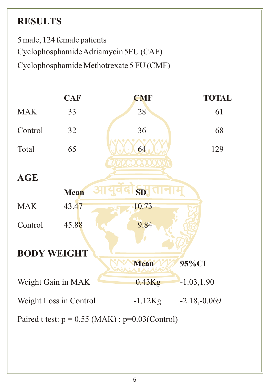# **RESULTS**

5 male, 124 female patients Cyclophosphamide Adriamycin 5FU (CAF) Cyclophosphamide Methotrexate 5 FU (CMF)

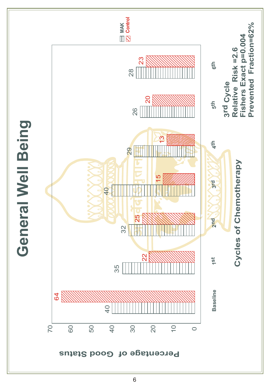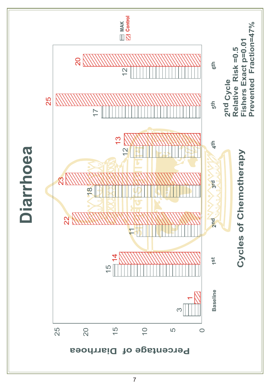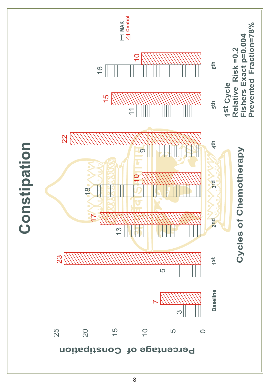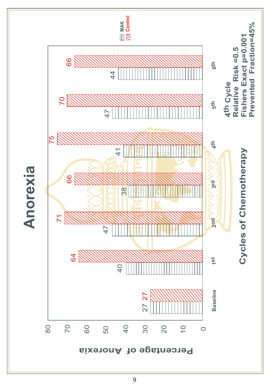

 $\overline{9}$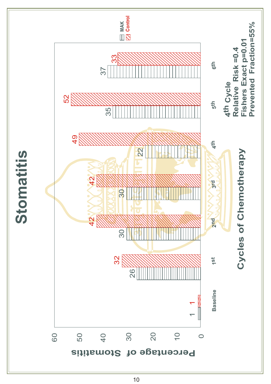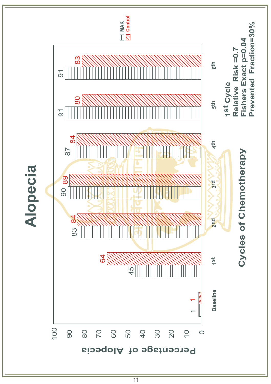

 $\overline{11}$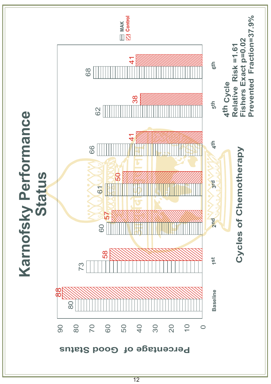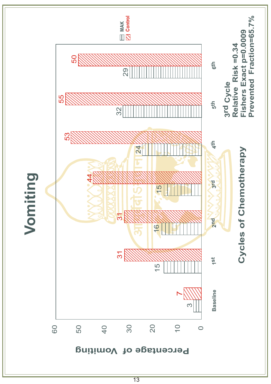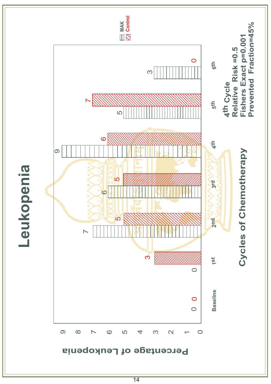